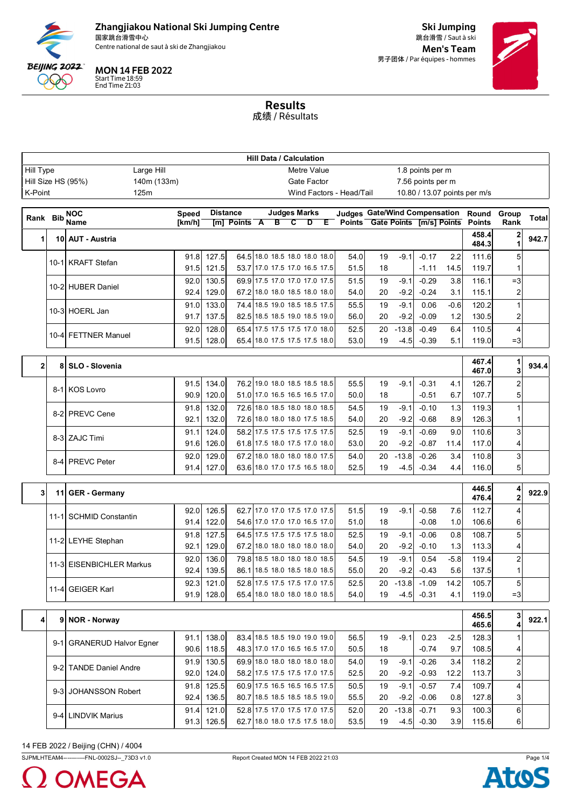

Centre national de saut à ski de Zhangjiakou de la commune de la commune de la commune de la commune de la commune de la commune de la commune de la commune de la commune de la commune de la commune de la commune de la com

MON 14 FEB 2022

Start Time 18:59 End Time 21:03

Ski Jumping 跳台滑雪 / Saut à ski 男子团体 / Par équipes - hommes



Results 成绩 / Résultats

|                                                            | <b>Hill Data / Calculation</b> |                           |              |                            |                 |  |                     |  |                                                                |                                      |          |                   |                                  |               |                              |                     |              |
|------------------------------------------------------------|--------------------------------|---------------------------|--------------|----------------------------|-----------------|--|---------------------|--|----------------------------------------------------------------|--------------------------------------|----------|-------------------|----------------------------------|---------------|------------------------------|---------------------|--------------|
| Hill Type<br>Large Hill<br>Metre Value<br>1.8 points per m |                                |                           |              |                            |                 |  |                     |  |                                                                |                                      |          |                   |                                  |               |                              |                     |              |
|                                                            |                                | Hill Size HS (95%)        | 140m (133m)  |                            |                 |  |                     |  | Gate Factor                                                    |                                      |          |                   | 7.56 points per m                |               |                              |                     |              |
| K-Point                                                    |                                | 125m                      |              |                            |                 |  |                     |  |                                                                | Wind Factors - Head/Tail             |          |                   |                                  |               | 10.80 / 13.07 points per m/s |                     |              |
| Rank Bib                                                   |                                | <b>NOC</b>                | <b>Speed</b> |                            | <b>Distance</b> |  | <b>Judges Marks</b> |  |                                                                | <b>Judges Gate/Wind Compensation</b> |          |                   |                                  |               | Round                        | Group               | <b>Total</b> |
|                                                            |                                | Name                      | [km/h]       |                            | [m] Points A    |  | $B$ $C$             |  | Þ                                                              | E Points Gate Points [m/s] Points    |          |                   |                                  |               | <b>Points</b>                | Rank                |              |
| 1                                                          |                                | 10 AUT - Austria          |              |                            |                 |  |                     |  |                                                                |                                      |          |                   |                                  |               | 458.4<br>484.3               | 2                   | 942.7        |
|                                                            |                                | 10-1 KRAFT Stefan         | 91.8<br>91.5 | 127.5<br>121.5             |                 |  |                     |  | 64.5 18.0 18.5 18.0 18.0 18.0<br>53.7 17.0 17.5 17.0 16.5 17.5 | 54.0<br>51.5                         | 19<br>18 | $-9.1$            | $-0.17$<br>$-1.11$               | 2.2<br>14.5   | 111.6<br>119.7               | 5                   |              |
|                                                            |                                |                           | 92.0         | 130.5                      |                 |  |                     |  | 69.9 17.5 17.0 17.0 17.0 17.5                                  | 51.5                                 | 19       | $-9.1$            | $-0.29$                          | 3.8           | 116.1                        | $=3$                |              |
|                                                            |                                | 10-2 HUBER Daniel         | 92.4         | 129.0                      |                 |  |                     |  | 67.2 18.0 18.0 18.5 18.0 18.0                                  | 54.0                                 | 20       | $-9.2$            | $-0.24$                          | 3.1           | 115.1                        | 2                   |              |
|                                                            |                                | 10-3 HOERL Jan            | 91.0<br>91.7 | 133.0<br>137.5             |                 |  |                     |  | 74.4 18.5 19.0 18.5 18.5 17.5<br>82.5 18.5 18.5 19.0 18.5 19.0 | 55.5<br>56.0                         | 19<br>20 | $-9.1$<br>$-9.2$  | 0.06<br>$-0.09$                  | $-0.6$<br>1.2 | 120.2<br>130.5               | 1<br>2              |              |
|                                                            |                                |                           | 92.0         | 128.0                      |                 |  |                     |  | 65.4 17.5 17.5 17.5 17.0 18.0                                  | 52.5                                 | 20       | $-13.8$           | $-0.49$                          | 6.4           | 110.5                        | $\overline{4}$      |              |
|                                                            |                                | 10-4 FETTNER Manuel       | 91.5         | 128.0                      |                 |  |                     |  | 65.4 18.0 17.5 17.5 17.5 18.0                                  | 53.0                                 | 19       | $-4.5$            | $-0.39$                          | 5.1           | 119.0                        | $=3$                |              |
| $\mathbf{2}$                                               | 8                              | SLO - Slovenia            |              |                            |                 |  |                     |  |                                                                |                                      |          |                   |                                  |               | 467.4<br>467.0               | 3                   | 934.4        |
|                                                            |                                | 8-1 KOS Lovro             | 91.5<br>90.9 | 134.0<br>120.0             |                 |  |                     |  | 76.2 19.0 18.0 18.5 18.5 18.5<br>51.0 17.0 16.5 16.5 16.5 17.0 | 55.5<br>50.0                         | 19<br>18 | $-9.1$            | $-0.31$<br>$-0.51$               | 4.1<br>6.7    | 126.7<br>107.7               | $\overline{2}$<br>5 |              |
|                                                            |                                | 8-2 PREVC Cene            | 91.8<br>92.1 | 132.0<br>132.0             |                 |  |                     |  | 72.6 18.0 18.5 18.0 18.0 18.5<br>72.6 18.0 18.0 18.0 17.5 18.5 | 54.5<br>54.0                         | 19<br>20 | $-9.1$<br>$-9.2$  | $-0.10$<br>$-0.68$               | 1.3<br>8.9    | 119.3<br>126.3               | 1                   |              |
|                                                            |                                | 8-3 ZAJC Timi             | 91.1<br>91.6 | 124.0<br>126.0             |                 |  |                     |  | 58.2 17.5 17.5 17.5 17.5 17.5<br>61.8 17.5 18.0 17.5 17.0 18.0 | 52.5<br>53.0                         | 19<br>20 | $-9.1$<br>$-9.2$  | $-0.69$<br>$-0.87$               | 9.0<br>11.4   | 110.6<br>117.0               | 3<br>4              |              |
|                                                            |                                | 8-4 PREVC Peter           | 92.0<br>91.4 | 129.0<br>127.0             |                 |  |                     |  | 67.2 18.0 18.0 18.0 18.0 17.5<br>63.6 18.0 17.0 17.5 16.5 18.0 | 54.0<br>52.5                         | 20<br>19 | $-13.8$<br>$-4.5$ | $-0.26$<br>$-0.34$               | 3.4<br>4.4    | 110.8<br>116.0               | 3<br>5              |              |
|                                                            |                                |                           |              |                            |                 |  |                     |  |                                                                |                                      |          |                   |                                  |               |                              |                     |              |
| 3                                                          |                                | 11 GER - Germany          |              |                            |                 |  |                     |  |                                                                |                                      |          |                   |                                  |               | 446.5<br>476.4               | 4<br>2              | 922.9        |
|                                                            |                                | 11-1 SCHMID Constantin    | 92.0         | 126.5                      |                 |  |                     |  | 62.7 17.0 17.0 17.5 17.0 17.5                                  | 51.5                                 | 19       | $-9.1$            | $-0.58$                          | 7.6           | 112.7                        | 4                   |              |
|                                                            |                                |                           | 91.4         | 122.0                      |                 |  |                     |  | 54.6 17.0 17.0 17.0 16.5 17.0                                  | 51.0                                 | 18       |                   | $-0.08$                          | 1.0           | 106.6                        | 6                   |              |
|                                                            |                                | 11-2 LEYHE Stephan        | 91.8<br>92.1 | 127.5<br>129.0             |                 |  |                     |  | 64.5 17.5 17.5 17.5 17.5 18.0<br>67.2 18.0 18.0 18.0 18.0 18.0 | 52.5<br>54.0                         | 19<br>20 | $-9.1$<br>$-9.2$  | $-0.06$<br>$-0.10$               | 0.8<br>1.3    | 108.7<br>113.3               | 5<br>4              |              |
|                                                            |                                | 11-3 EISENBICHLER Markus  | 92.0         | 136.0                      |                 |  |                     |  | 79.8 18.5 18.0 18.0 18.0 18.5                                  | 54.5                                 | 19       | $-9.1$            | 0.54                             | $-5.8$        | 119.4                        | 2                   |              |
|                                                            |                                |                           | 92.4         | 139.5                      |                 |  |                     |  | 86.1 18.5 18.0 18.5 18.0 18.5                                  | 55.0                                 | 20       | $-9.2$            | $-0.43$                          | 5.6           | 137.5                        |                     |              |
|                                                            |                                | 11-4 GEIGER Karl          |              | $92.3$ 121.0<br>91.9 128.0 |                 |  |                     |  | 52.8 17.5 17.5 17.5 17.0 17.5<br>65.4 18.0 18.0 18.0 18.0 18.5 | 52.5<br>54.0                         | 20<br>19 |                   | $-13.8 - 1.09$<br>$-4.5$ $-0.31$ | 14.2<br>4.1   | 105.7<br>119.0               | 5<br>$=3$           |              |
| 4                                                          |                                | 9 NOR - Norway            |              |                            |                 |  |                     |  |                                                                |                                      |          |                   |                                  |               | 456.5<br>465.6               | 3<br>4              | 922.1        |
|                                                            |                                | 9-1 GRANERUD Halvor Egner |              | 91.1 138.0<br>90.6 118.5   |                 |  |                     |  | 83.4 18.5 18.5 19.0 19.0 19.0<br>48.3 17.0 17.0 16.5 16.5 17.0 | 56.5<br>50.5                         | 19<br>18 | $-9.1$            | 0.23<br>$-0.74$                  | $-2.5$<br>9.7 | 128.3<br>108.5               | 1<br>4              |              |
|                                                            |                                | 9-2 TANDE Daniel Andre    |              | 91.9 130.5<br>92.0 124.0   |                 |  |                     |  | 69.9 18.0 18.0 18.0 18.0 18.0<br>58.2 17.5 17.5 17.5 17.0 17.5 | 54.0<br>52.5                         | 19<br>20 | $-9.1$<br>$-9.2$  | $-0.26$<br>$-0.93$               | 3.4<br>12.2   | 118.2<br>113.7               | $\overline{a}$<br>3 |              |
|                                                            |                                | 9-3 JOHANSSON Robert      |              | 91.8 125.5<br>92.4 136.5   |                 |  |                     |  | 60.9 17.5 16.5 16.5 16.5 17.5<br>80.7 18.5 18.5 18.5 18.5 19.0 | 50.5<br>55.5                         | 19<br>20 | $-9.1$<br>$-9.2$  | $-0.57$<br>$-0.06$               | 7.4<br>0.8    | 109.7<br>127.8               | $\overline{4}$<br>3 |              |
|                                                            |                                | 9-4 LINDVIK Marius        | 91.4         | 121.0<br>91.3 126.5        |                 |  |                     |  | 52.8 17.5 17.0 17.5 17.0 17.5<br>62.7 18.0 18.0 17.5 17.5 18.0 | 52.0<br>53.5                         | 20<br>19 | $-13.8$           | $-0.71$<br>$-4.5 - 0.30$         | 9.3<br>3.9    | 100.3<br>115.6               | 6<br>6              |              |
|                                                            |                                |                           |              |                            |                 |  |                     |  |                                                                |                                      |          |                   |                                  |               |                              |                     |              |

# 14 FEB 2022 / Beijing (CHN) / 4004

SJPMLHTEAM4-----------FNL-0002SJ--\_73D3 v1.0 Report Created MON 14 FEB 2022 21:03 Page 1/4



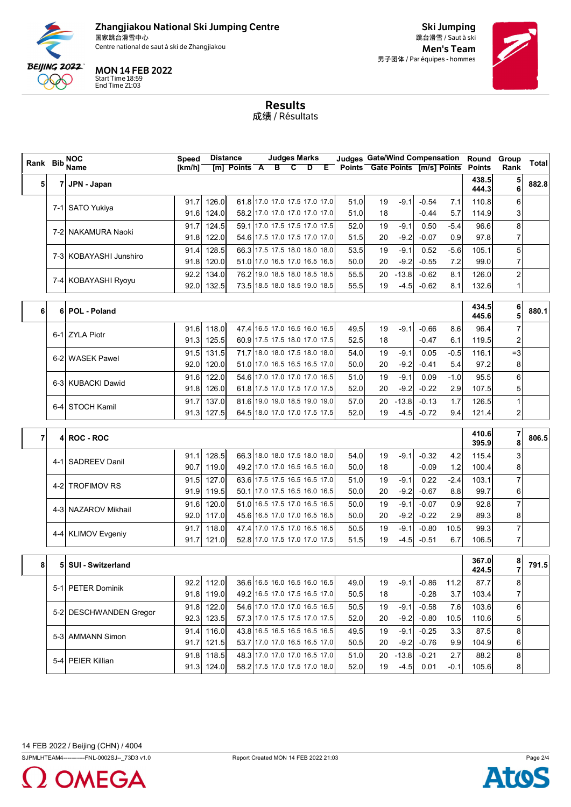

Centre national de saut à ski de Zhangjiakou de la commune de la commune de la commune de la commune de la commune de la commune de la commune de la commune de la commune de la commune de la commune de la commune de la com



Start Time 18:59 End Time 21:03

Ski Jumping 跳台滑雪 / Saut à ski 男子团体 / Par équipes - hommes



Results 成绩 / Résultats

| Points Gate Points [m/s] Points<br>$[m]$ Points $\overline{A}$ B C<br>$D$ $E$<br>438.5<br>5<br>882.8<br>5<br>JPN - Japan<br>71<br>6<br>444.3<br>126.0<br>61.8 17.0 17.0 17.5 17.0 17.0<br>91.7<br>51.0<br>19<br>$-9.1$<br>$-0.54$<br>110.8<br>6<br>7.1<br>7-1 SATO Yukiya<br>58.2 17.0 17.0 17.0 17.0 17.0<br>91.6<br>124.0<br>51.0<br>$-0.44$<br>18<br>5.7<br>114.9<br>3<br>124.5<br>59.1 17.0 17.5 17.5 17.0 17.5<br>91.7<br>$-9.1$<br>0.50<br>96.6<br>8<br>52.0<br>19<br>$-5.4$<br>7-2 NAKAMURA Naoki<br>122.0<br>54.6 17.5 17.0 17.5 17.0 17.0<br>$-0.07$<br>0.9<br>97.8<br>7<br>91.8<br>51.5<br>20<br>$-9.2$<br>66.3 17.5 17.5 18.0 18.0 18.0<br>5<br>128.5<br>53.5<br>19<br>$-9.1$<br>0.52<br>$-5.6$<br>105.1<br>91.4<br>7-3 KOBAYASHI Junshiro<br>7<br>7.2<br>91.8<br>120.0<br>51.0 17.0 16.5 17.0 16.5 16.5<br>50.0<br>20<br>$-9.2$<br>$-0.55$<br>99.0<br>$\overline{\mathbf{c}}$<br>76.2 19.0 18.5 18.0 18.5 18.5<br>134.0<br>55.5<br>$-13.8$<br>$-0.62$<br>126.0<br>92.2<br>20<br>8.1<br>7-4 KOBAYASHI Ryoyu<br>73.5 18.5 18.0 18.5 19.0 18.5<br>92.0<br>132.5<br>55.5<br>19<br>$-4.5$<br>$-0.62$<br>8.1<br>132.6<br>1<br>6<br>434.5<br>880.1<br>POL - Poland<br>6<br>6<br>5<br>445.6<br>$\overline{7}$<br>47.4 16.5 17.0 16.5 16.0 16.5<br>118.0<br>$-9.1$<br>$-0.66$<br>8.6<br>96.4<br>91.6<br>49.5<br>19<br>6-1 ZYLA Piotr<br>125.5<br>60.9 17.5 17.5 18.0 17.0 17.5<br>119.5<br>91.3<br>52.5<br>18<br>$-0.47$<br>2<br>6.1<br>131.5<br>71.7 18.0 18.0 17.5 18.0 18.0<br>91.5<br>54.0<br>19<br>$-9.1$<br>0.05<br>$-0.5$<br>116.1<br>$=3$<br>6-2 WASEK Pawel<br>120.0<br>51.0 17.0 16.5 16.5 16.5 17.0<br>$-9.2$<br>97.2<br>92.0<br>50.0<br>20<br>$-0.41$<br>54<br>8<br>54.6 17.0 17.0 17.0 17.0 16.5<br>122.0<br>$-9.1$<br>6<br>91.6<br>51.0<br>19<br>0.09<br>$-1.0$<br>95.5<br>6-3 KUBACKI Dawid<br>126.0<br>$-9.2$<br>2.9<br>107.5<br>91.8<br>61.8 17.5 17.0 17.5 17.0 17.5<br>52.0<br>20<br>$-0.22$<br>5<br>137.0<br>1.7<br>$\mathbf{1}$<br>91.7<br>81.6 19.0 19.0 18.5 19.0 19.0<br>57.0<br>$-13.8$<br>$-0.13$<br>126.5<br>20<br><b>STOCH Kamil</b><br>6-4<br>127.5<br>64.5 18.0 17.0 17.0 17.5 17.5<br>2<br>91.3<br>52.0<br>19<br>$-4.5$<br>$-0.72$<br>9.4<br>121.4<br>7<br>410.6<br>4 ROC - ROC<br>7<br>395.9<br>8<br>66.3 18.0 18.0 17.5 18.0 18.0<br>128.5<br>54.0<br>$-9.1$<br>$-0.32$<br>3<br>91.1<br>19<br>4.2<br>115.4<br>4-1 SADREEV Danil<br>90.7<br>119.0<br>49.2 17.0 17.0 16.5 16.5 16.0<br>50.0<br>18<br>$-0.09$<br>1.2<br>100.4<br>8<br>$\overline{7}$<br>63.6 17.5 17.5 16.5 16.5 17.0<br>127.0<br>0.22<br>$-2.4$<br>103.1<br>91.5<br>51.0<br>19<br>$-9.1$<br><b>TROFIMOV RS</b><br>4-2I<br>$-9.2$<br>8.8<br>99.7<br>91.9<br>119.5<br>50.1 17.0 17.5 16.5 16.0 16.5<br>50.0<br>20<br>$-0.67$<br>6<br>$\overline{7}$<br>120.0<br>0.9<br>91.6<br>51.0 16.5 17.5 17.0 16.5 16.5<br>50.0<br>19<br>$-9.1$<br>$-0.07$<br>92.8<br>4-3 NAZAROV Mikhail<br>45.6 16.5 17.0 17.0 16.5 16.5<br>2.9<br>92.0<br>117.0<br>50.0<br>$-9.2$<br>$-0.22$<br>89.3<br>20<br>8<br>$\overline{7}$<br>10.5<br>91.7<br>118.0<br>47.4 17.0 17.5 17.0 16.5 16.5<br>50.5<br>19<br>$-9.1$<br>$-0.80$<br>99.3<br><b>KLIMOV Evgeniy</b><br>4-4I<br>121.0<br>51.5<br>6.7<br>106.5<br>7<br>91.7<br>52.8 17.0 17.5 17.0 17.0 17.5<br>19<br>$-4.5$<br>$-0.51$<br>367.0<br>8<br>8<br>5<br><b>SUI - Switzerland</b><br>7<br>424.5<br>92.2 112.0<br>36.6 16.5 16.0 16.5 16.0 16.5<br>49.0<br>$-9.1$<br>11.2<br>87.7<br>8<br>$-0.86$<br>19<br>5-1 PETER Dominik<br>49.2 16.5 17.0 17.5 16.5 17.0<br>91.8 119.0<br>50.5<br>$-0.28$<br>3.7<br>103.4<br>7<br>18<br>54.6 17.0 17.0 17.0 16.5 16.5<br>122.0<br>6<br>91.8<br>50.5<br>19<br>$-9.1$<br>$-0.58$<br>7.6<br>103.6<br>5-2 DESCHWANDEN Gregor<br>123.5<br>57.3 17.0 17.5 17.5 17.0 17.5<br>92.3<br>52.0<br>20<br>$-9.2$<br>$-0.80$<br>10.5<br>110.6<br>5<br>116.0<br>43.8 16.5 16.5 16.5 16.5 16.5<br>49.5<br>3.3<br>8<br>91.4<br>19<br>$-9.1$<br>$-0.25$<br>87.5<br>5-3 AMMANN Simon<br>91.7<br>121.5<br>53.7 17.0 17.0 16.5 16.5 17.0<br>50.5<br>$-9.2$<br>$-0.76$<br>9.9<br>104.9<br>20<br>6<br>$\bf8$<br>91.8<br>118.5<br>48.3 17.0 17.0 17.0 16.5 17.0<br>$-13.8$<br>2.7<br>51.0<br>$-0.21$<br>88.2<br>20<br>5-4 PEIER Killian<br>91.3 124.0<br>58.2 17.5 17.0 17.5 17.0 18.0<br>52.0<br>19<br>$-4.5$<br>0.01<br>$-0.1$<br>105.6<br>8 | Rank Bib | <b>NOC</b>  | <b>Speed</b> | <b>Distance</b> | <b>Judges Marks</b> |  | <b>Judges Gate/Wind Compensation</b> |  |  | Round         | Group | <b>Total</b> |
|---------------------------------------------------------------------------------------------------------------------------------------------------------------------------------------------------------------------------------------------------------------------------------------------------------------------------------------------------------------------------------------------------------------------------------------------------------------------------------------------------------------------------------------------------------------------------------------------------------------------------------------------------------------------------------------------------------------------------------------------------------------------------------------------------------------------------------------------------------------------------------------------------------------------------------------------------------------------------------------------------------------------------------------------------------------------------------------------------------------------------------------------------------------------------------------------------------------------------------------------------------------------------------------------------------------------------------------------------------------------------------------------------------------------------------------------------------------------------------------------------------------------------------------------------------------------------------------------------------------------------------------------------------------------------------------------------------------------------------------------------------------------------------------------------------------------------------------------------------------------------------------------------------------------------------------------------------------------------------------------------------------------------------------------------------------------------------------------------------------------------------------------------------------------------------------------------------------------------------------------------------------------------------------------------------------------------------------------------------------------------------------------------------------------------------------------------------------------------------------------------------------------------------------------------------------------------------------------------------------------------------------------------------------------------------------------------------------------------------------------------------------------------------------------------------------------------------------------------------------------------------------------------------------------------------------------------------------------------------------------------------------------------------------------------------------------------------------------------------------------------------------------------------------------------------------------------------------------------------------------------------------------------------------------------------------------------------------------------------------------------------------------------------------------------------------------------------------------------------------------------------------------------------------------------------------------------------------------------------------------------------------------------------------------------------------------------------------------------------------------------------------------------------------------------------------------------------------------------------------------------------------------------------------------------------------------------------------------------------------------------------------------------------------------------------------------------------------------------------------------------------------------------------------------------------------------------------------------------------------------------------------------------------------|----------|-------------|--------------|-----------------|---------------------|--|--------------------------------------|--|--|---------------|-------|--------------|
|                                                                                                                                                                                                                                                                                                                                                                                                                                                                                                                                                                                                                                                                                                                                                                                                                                                                                                                                                                                                                                                                                                                                                                                                                                                                                                                                                                                                                                                                                                                                                                                                                                                                                                                                                                                                                                                                                                                                                                                                                                                                                                                                                                                                                                                                                                                                                                                                                                                                                                                                                                                                                                                                                                                                                                                                                                                                                                                                                                                                                                                                                                                                                                                                                                                                                                                                                                                                                                                                                                                                                                                                                                                                                                                                                                                                                                                                                                                                                                                                                                                                                                                                                                                                                                                                                       |          | <b>Name</b> | [km/h]       |                 |                     |  |                                      |  |  | <b>Points</b> | Rank  |              |
|                                                                                                                                                                                                                                                                                                                                                                                                                                                                                                                                                                                                                                                                                                                                                                                                                                                                                                                                                                                                                                                                                                                                                                                                                                                                                                                                                                                                                                                                                                                                                                                                                                                                                                                                                                                                                                                                                                                                                                                                                                                                                                                                                                                                                                                                                                                                                                                                                                                                                                                                                                                                                                                                                                                                                                                                                                                                                                                                                                                                                                                                                                                                                                                                                                                                                                                                                                                                                                                                                                                                                                                                                                                                                                                                                                                                                                                                                                                                                                                                                                                                                                                                                                                                                                                                                       |          |             |              |                 |                     |  |                                      |  |  |               |       |              |
|                                                                                                                                                                                                                                                                                                                                                                                                                                                                                                                                                                                                                                                                                                                                                                                                                                                                                                                                                                                                                                                                                                                                                                                                                                                                                                                                                                                                                                                                                                                                                                                                                                                                                                                                                                                                                                                                                                                                                                                                                                                                                                                                                                                                                                                                                                                                                                                                                                                                                                                                                                                                                                                                                                                                                                                                                                                                                                                                                                                                                                                                                                                                                                                                                                                                                                                                                                                                                                                                                                                                                                                                                                                                                                                                                                                                                                                                                                                                                                                                                                                                                                                                                                                                                                                                                       |          |             |              |                 |                     |  |                                      |  |  |               |       |              |
|                                                                                                                                                                                                                                                                                                                                                                                                                                                                                                                                                                                                                                                                                                                                                                                                                                                                                                                                                                                                                                                                                                                                                                                                                                                                                                                                                                                                                                                                                                                                                                                                                                                                                                                                                                                                                                                                                                                                                                                                                                                                                                                                                                                                                                                                                                                                                                                                                                                                                                                                                                                                                                                                                                                                                                                                                                                                                                                                                                                                                                                                                                                                                                                                                                                                                                                                                                                                                                                                                                                                                                                                                                                                                                                                                                                                                                                                                                                                                                                                                                                                                                                                                                                                                                                                                       |          |             |              |                 |                     |  |                                      |  |  |               |       |              |
|                                                                                                                                                                                                                                                                                                                                                                                                                                                                                                                                                                                                                                                                                                                                                                                                                                                                                                                                                                                                                                                                                                                                                                                                                                                                                                                                                                                                                                                                                                                                                                                                                                                                                                                                                                                                                                                                                                                                                                                                                                                                                                                                                                                                                                                                                                                                                                                                                                                                                                                                                                                                                                                                                                                                                                                                                                                                                                                                                                                                                                                                                                                                                                                                                                                                                                                                                                                                                                                                                                                                                                                                                                                                                                                                                                                                                                                                                                                                                                                                                                                                                                                                                                                                                                                                                       |          |             |              |                 |                     |  |                                      |  |  |               |       |              |
| 806.5<br>791.5                                                                                                                                                                                                                                                                                                                                                                                                                                                                                                                                                                                                                                                                                                                                                                                                                                                                                                                                                                                                                                                                                                                                                                                                                                                                                                                                                                                                                                                                                                                                                                                                                                                                                                                                                                                                                                                                                                                                                                                                                                                                                                                                                                                                                                                                                                                                                                                                                                                                                                                                                                                                                                                                                                                                                                                                                                                                                                                                                                                                                                                                                                                                                                                                                                                                                                                                                                                                                                                                                                                                                                                                                                                                                                                                                                                                                                                                                                                                                                                                                                                                                                                                                                                                                                                                        |          |             |              |                 |                     |  |                                      |  |  |               |       |              |
|                                                                                                                                                                                                                                                                                                                                                                                                                                                                                                                                                                                                                                                                                                                                                                                                                                                                                                                                                                                                                                                                                                                                                                                                                                                                                                                                                                                                                                                                                                                                                                                                                                                                                                                                                                                                                                                                                                                                                                                                                                                                                                                                                                                                                                                                                                                                                                                                                                                                                                                                                                                                                                                                                                                                                                                                                                                                                                                                                                                                                                                                                                                                                                                                                                                                                                                                                                                                                                                                                                                                                                                                                                                                                                                                                                                                                                                                                                                                                                                                                                                                                                                                                                                                                                                                                       |          |             |              |                 |                     |  |                                      |  |  |               |       |              |
|                                                                                                                                                                                                                                                                                                                                                                                                                                                                                                                                                                                                                                                                                                                                                                                                                                                                                                                                                                                                                                                                                                                                                                                                                                                                                                                                                                                                                                                                                                                                                                                                                                                                                                                                                                                                                                                                                                                                                                                                                                                                                                                                                                                                                                                                                                                                                                                                                                                                                                                                                                                                                                                                                                                                                                                                                                                                                                                                                                                                                                                                                                                                                                                                                                                                                                                                                                                                                                                                                                                                                                                                                                                                                                                                                                                                                                                                                                                                                                                                                                                                                                                                                                                                                                                                                       |          |             |              |                 |                     |  |                                      |  |  |               |       |              |
|                                                                                                                                                                                                                                                                                                                                                                                                                                                                                                                                                                                                                                                                                                                                                                                                                                                                                                                                                                                                                                                                                                                                                                                                                                                                                                                                                                                                                                                                                                                                                                                                                                                                                                                                                                                                                                                                                                                                                                                                                                                                                                                                                                                                                                                                                                                                                                                                                                                                                                                                                                                                                                                                                                                                                                                                                                                                                                                                                                                                                                                                                                                                                                                                                                                                                                                                                                                                                                                                                                                                                                                                                                                                                                                                                                                                                                                                                                                                                                                                                                                                                                                                                                                                                                                                                       |          |             |              |                 |                     |  |                                      |  |  |               |       |              |
|                                                                                                                                                                                                                                                                                                                                                                                                                                                                                                                                                                                                                                                                                                                                                                                                                                                                                                                                                                                                                                                                                                                                                                                                                                                                                                                                                                                                                                                                                                                                                                                                                                                                                                                                                                                                                                                                                                                                                                                                                                                                                                                                                                                                                                                                                                                                                                                                                                                                                                                                                                                                                                                                                                                                                                                                                                                                                                                                                                                                                                                                                                                                                                                                                                                                                                                                                                                                                                                                                                                                                                                                                                                                                                                                                                                                                                                                                                                                                                                                                                                                                                                                                                                                                                                                                       |          |             |              |                 |                     |  |                                      |  |  |               |       |              |
|                                                                                                                                                                                                                                                                                                                                                                                                                                                                                                                                                                                                                                                                                                                                                                                                                                                                                                                                                                                                                                                                                                                                                                                                                                                                                                                                                                                                                                                                                                                                                                                                                                                                                                                                                                                                                                                                                                                                                                                                                                                                                                                                                                                                                                                                                                                                                                                                                                                                                                                                                                                                                                                                                                                                                                                                                                                                                                                                                                                                                                                                                                                                                                                                                                                                                                                                                                                                                                                                                                                                                                                                                                                                                                                                                                                                                                                                                                                                                                                                                                                                                                                                                                                                                                                                                       |          |             |              |                 |                     |  |                                      |  |  |               |       |              |
|                                                                                                                                                                                                                                                                                                                                                                                                                                                                                                                                                                                                                                                                                                                                                                                                                                                                                                                                                                                                                                                                                                                                                                                                                                                                                                                                                                                                                                                                                                                                                                                                                                                                                                                                                                                                                                                                                                                                                                                                                                                                                                                                                                                                                                                                                                                                                                                                                                                                                                                                                                                                                                                                                                                                                                                                                                                                                                                                                                                                                                                                                                                                                                                                                                                                                                                                                                                                                                                                                                                                                                                                                                                                                                                                                                                                                                                                                                                                                                                                                                                                                                                                                                                                                                                                                       |          |             |              |                 |                     |  |                                      |  |  |               |       |              |
|                                                                                                                                                                                                                                                                                                                                                                                                                                                                                                                                                                                                                                                                                                                                                                                                                                                                                                                                                                                                                                                                                                                                                                                                                                                                                                                                                                                                                                                                                                                                                                                                                                                                                                                                                                                                                                                                                                                                                                                                                                                                                                                                                                                                                                                                                                                                                                                                                                                                                                                                                                                                                                                                                                                                                                                                                                                                                                                                                                                                                                                                                                                                                                                                                                                                                                                                                                                                                                                                                                                                                                                                                                                                                                                                                                                                                                                                                                                                                                                                                                                                                                                                                                                                                                                                                       |          |             |              |                 |                     |  |                                      |  |  |               |       |              |
|                                                                                                                                                                                                                                                                                                                                                                                                                                                                                                                                                                                                                                                                                                                                                                                                                                                                                                                                                                                                                                                                                                                                                                                                                                                                                                                                                                                                                                                                                                                                                                                                                                                                                                                                                                                                                                                                                                                                                                                                                                                                                                                                                                                                                                                                                                                                                                                                                                                                                                                                                                                                                                                                                                                                                                                                                                                                                                                                                                                                                                                                                                                                                                                                                                                                                                                                                                                                                                                                                                                                                                                                                                                                                                                                                                                                                                                                                                                                                                                                                                                                                                                                                                                                                                                                                       |          |             |              |                 |                     |  |                                      |  |  |               |       |              |
|                                                                                                                                                                                                                                                                                                                                                                                                                                                                                                                                                                                                                                                                                                                                                                                                                                                                                                                                                                                                                                                                                                                                                                                                                                                                                                                                                                                                                                                                                                                                                                                                                                                                                                                                                                                                                                                                                                                                                                                                                                                                                                                                                                                                                                                                                                                                                                                                                                                                                                                                                                                                                                                                                                                                                                                                                                                                                                                                                                                                                                                                                                                                                                                                                                                                                                                                                                                                                                                                                                                                                                                                                                                                                                                                                                                                                                                                                                                                                                                                                                                                                                                                                                                                                                                                                       |          |             |              |                 |                     |  |                                      |  |  |               |       |              |
|                                                                                                                                                                                                                                                                                                                                                                                                                                                                                                                                                                                                                                                                                                                                                                                                                                                                                                                                                                                                                                                                                                                                                                                                                                                                                                                                                                                                                                                                                                                                                                                                                                                                                                                                                                                                                                                                                                                                                                                                                                                                                                                                                                                                                                                                                                                                                                                                                                                                                                                                                                                                                                                                                                                                                                                                                                                                                                                                                                                                                                                                                                                                                                                                                                                                                                                                                                                                                                                                                                                                                                                                                                                                                                                                                                                                                                                                                                                                                                                                                                                                                                                                                                                                                                                                                       |          |             |              |                 |                     |  |                                      |  |  |               |       |              |
|                                                                                                                                                                                                                                                                                                                                                                                                                                                                                                                                                                                                                                                                                                                                                                                                                                                                                                                                                                                                                                                                                                                                                                                                                                                                                                                                                                                                                                                                                                                                                                                                                                                                                                                                                                                                                                                                                                                                                                                                                                                                                                                                                                                                                                                                                                                                                                                                                                                                                                                                                                                                                                                                                                                                                                                                                                                                                                                                                                                                                                                                                                                                                                                                                                                                                                                                                                                                                                                                                                                                                                                                                                                                                                                                                                                                                                                                                                                                                                                                                                                                                                                                                                                                                                                                                       |          |             |              |                 |                     |  |                                      |  |  |               |       |              |
|                                                                                                                                                                                                                                                                                                                                                                                                                                                                                                                                                                                                                                                                                                                                                                                                                                                                                                                                                                                                                                                                                                                                                                                                                                                                                                                                                                                                                                                                                                                                                                                                                                                                                                                                                                                                                                                                                                                                                                                                                                                                                                                                                                                                                                                                                                                                                                                                                                                                                                                                                                                                                                                                                                                                                                                                                                                                                                                                                                                                                                                                                                                                                                                                                                                                                                                                                                                                                                                                                                                                                                                                                                                                                                                                                                                                                                                                                                                                                                                                                                                                                                                                                                                                                                                                                       |          |             |              |                 |                     |  |                                      |  |  |               |       |              |
|                                                                                                                                                                                                                                                                                                                                                                                                                                                                                                                                                                                                                                                                                                                                                                                                                                                                                                                                                                                                                                                                                                                                                                                                                                                                                                                                                                                                                                                                                                                                                                                                                                                                                                                                                                                                                                                                                                                                                                                                                                                                                                                                                                                                                                                                                                                                                                                                                                                                                                                                                                                                                                                                                                                                                                                                                                                                                                                                                                                                                                                                                                                                                                                                                                                                                                                                                                                                                                                                                                                                                                                                                                                                                                                                                                                                                                                                                                                                                                                                                                                                                                                                                                                                                                                                                       |          |             |              |                 |                     |  |                                      |  |  |               |       |              |
|                                                                                                                                                                                                                                                                                                                                                                                                                                                                                                                                                                                                                                                                                                                                                                                                                                                                                                                                                                                                                                                                                                                                                                                                                                                                                                                                                                                                                                                                                                                                                                                                                                                                                                                                                                                                                                                                                                                                                                                                                                                                                                                                                                                                                                                                                                                                                                                                                                                                                                                                                                                                                                                                                                                                                                                                                                                                                                                                                                                                                                                                                                                                                                                                                                                                                                                                                                                                                                                                                                                                                                                                                                                                                                                                                                                                                                                                                                                                                                                                                                                                                                                                                                                                                                                                                       |          |             |              |                 |                     |  |                                      |  |  |               |       |              |
|                                                                                                                                                                                                                                                                                                                                                                                                                                                                                                                                                                                                                                                                                                                                                                                                                                                                                                                                                                                                                                                                                                                                                                                                                                                                                                                                                                                                                                                                                                                                                                                                                                                                                                                                                                                                                                                                                                                                                                                                                                                                                                                                                                                                                                                                                                                                                                                                                                                                                                                                                                                                                                                                                                                                                                                                                                                                                                                                                                                                                                                                                                                                                                                                                                                                                                                                                                                                                                                                                                                                                                                                                                                                                                                                                                                                                                                                                                                                                                                                                                                                                                                                                                                                                                                                                       |          |             |              |                 |                     |  |                                      |  |  |               |       |              |
|                                                                                                                                                                                                                                                                                                                                                                                                                                                                                                                                                                                                                                                                                                                                                                                                                                                                                                                                                                                                                                                                                                                                                                                                                                                                                                                                                                                                                                                                                                                                                                                                                                                                                                                                                                                                                                                                                                                                                                                                                                                                                                                                                                                                                                                                                                                                                                                                                                                                                                                                                                                                                                                                                                                                                                                                                                                                                                                                                                                                                                                                                                                                                                                                                                                                                                                                                                                                                                                                                                                                                                                                                                                                                                                                                                                                                                                                                                                                                                                                                                                                                                                                                                                                                                                                                       |          |             |              |                 |                     |  |                                      |  |  |               |       |              |
|                                                                                                                                                                                                                                                                                                                                                                                                                                                                                                                                                                                                                                                                                                                                                                                                                                                                                                                                                                                                                                                                                                                                                                                                                                                                                                                                                                                                                                                                                                                                                                                                                                                                                                                                                                                                                                                                                                                                                                                                                                                                                                                                                                                                                                                                                                                                                                                                                                                                                                                                                                                                                                                                                                                                                                                                                                                                                                                                                                                                                                                                                                                                                                                                                                                                                                                                                                                                                                                                                                                                                                                                                                                                                                                                                                                                                                                                                                                                                                                                                                                                                                                                                                                                                                                                                       |          |             |              |                 |                     |  |                                      |  |  |               |       |              |
|                                                                                                                                                                                                                                                                                                                                                                                                                                                                                                                                                                                                                                                                                                                                                                                                                                                                                                                                                                                                                                                                                                                                                                                                                                                                                                                                                                                                                                                                                                                                                                                                                                                                                                                                                                                                                                                                                                                                                                                                                                                                                                                                                                                                                                                                                                                                                                                                                                                                                                                                                                                                                                                                                                                                                                                                                                                                                                                                                                                                                                                                                                                                                                                                                                                                                                                                                                                                                                                                                                                                                                                                                                                                                                                                                                                                                                                                                                                                                                                                                                                                                                                                                                                                                                                                                       |          |             |              |                 |                     |  |                                      |  |  |               |       |              |
|                                                                                                                                                                                                                                                                                                                                                                                                                                                                                                                                                                                                                                                                                                                                                                                                                                                                                                                                                                                                                                                                                                                                                                                                                                                                                                                                                                                                                                                                                                                                                                                                                                                                                                                                                                                                                                                                                                                                                                                                                                                                                                                                                                                                                                                                                                                                                                                                                                                                                                                                                                                                                                                                                                                                                                                                                                                                                                                                                                                                                                                                                                                                                                                                                                                                                                                                                                                                                                                                                                                                                                                                                                                                                                                                                                                                                                                                                                                                                                                                                                                                                                                                                                                                                                                                                       |          |             |              |                 |                     |  |                                      |  |  |               |       |              |
|                                                                                                                                                                                                                                                                                                                                                                                                                                                                                                                                                                                                                                                                                                                                                                                                                                                                                                                                                                                                                                                                                                                                                                                                                                                                                                                                                                                                                                                                                                                                                                                                                                                                                                                                                                                                                                                                                                                                                                                                                                                                                                                                                                                                                                                                                                                                                                                                                                                                                                                                                                                                                                                                                                                                                                                                                                                                                                                                                                                                                                                                                                                                                                                                                                                                                                                                                                                                                                                                                                                                                                                                                                                                                                                                                                                                                                                                                                                                                                                                                                                                                                                                                                                                                                                                                       |          |             |              |                 |                     |  |                                      |  |  |               |       |              |
|                                                                                                                                                                                                                                                                                                                                                                                                                                                                                                                                                                                                                                                                                                                                                                                                                                                                                                                                                                                                                                                                                                                                                                                                                                                                                                                                                                                                                                                                                                                                                                                                                                                                                                                                                                                                                                                                                                                                                                                                                                                                                                                                                                                                                                                                                                                                                                                                                                                                                                                                                                                                                                                                                                                                                                                                                                                                                                                                                                                                                                                                                                                                                                                                                                                                                                                                                                                                                                                                                                                                                                                                                                                                                                                                                                                                                                                                                                                                                                                                                                                                                                                                                                                                                                                                                       |          |             |              |                 |                     |  |                                      |  |  |               |       |              |
|                                                                                                                                                                                                                                                                                                                                                                                                                                                                                                                                                                                                                                                                                                                                                                                                                                                                                                                                                                                                                                                                                                                                                                                                                                                                                                                                                                                                                                                                                                                                                                                                                                                                                                                                                                                                                                                                                                                                                                                                                                                                                                                                                                                                                                                                                                                                                                                                                                                                                                                                                                                                                                                                                                                                                                                                                                                                                                                                                                                                                                                                                                                                                                                                                                                                                                                                                                                                                                                                                                                                                                                                                                                                                                                                                                                                                                                                                                                                                                                                                                                                                                                                                                                                                                                                                       |          |             |              |                 |                     |  |                                      |  |  |               |       |              |
|                                                                                                                                                                                                                                                                                                                                                                                                                                                                                                                                                                                                                                                                                                                                                                                                                                                                                                                                                                                                                                                                                                                                                                                                                                                                                                                                                                                                                                                                                                                                                                                                                                                                                                                                                                                                                                                                                                                                                                                                                                                                                                                                                                                                                                                                                                                                                                                                                                                                                                                                                                                                                                                                                                                                                                                                                                                                                                                                                                                                                                                                                                                                                                                                                                                                                                                                                                                                                                                                                                                                                                                                                                                                                                                                                                                                                                                                                                                                                                                                                                                                                                                                                                                                                                                                                       |          |             |              |                 |                     |  |                                      |  |  |               |       |              |
|                                                                                                                                                                                                                                                                                                                                                                                                                                                                                                                                                                                                                                                                                                                                                                                                                                                                                                                                                                                                                                                                                                                                                                                                                                                                                                                                                                                                                                                                                                                                                                                                                                                                                                                                                                                                                                                                                                                                                                                                                                                                                                                                                                                                                                                                                                                                                                                                                                                                                                                                                                                                                                                                                                                                                                                                                                                                                                                                                                                                                                                                                                                                                                                                                                                                                                                                                                                                                                                                                                                                                                                                                                                                                                                                                                                                                                                                                                                                                                                                                                                                                                                                                                                                                                                                                       |          |             |              |                 |                     |  |                                      |  |  |               |       |              |
|                                                                                                                                                                                                                                                                                                                                                                                                                                                                                                                                                                                                                                                                                                                                                                                                                                                                                                                                                                                                                                                                                                                                                                                                                                                                                                                                                                                                                                                                                                                                                                                                                                                                                                                                                                                                                                                                                                                                                                                                                                                                                                                                                                                                                                                                                                                                                                                                                                                                                                                                                                                                                                                                                                                                                                                                                                                                                                                                                                                                                                                                                                                                                                                                                                                                                                                                                                                                                                                                                                                                                                                                                                                                                                                                                                                                                                                                                                                                                                                                                                                                                                                                                                                                                                                                                       |          |             |              |                 |                     |  |                                      |  |  |               |       |              |
|                                                                                                                                                                                                                                                                                                                                                                                                                                                                                                                                                                                                                                                                                                                                                                                                                                                                                                                                                                                                                                                                                                                                                                                                                                                                                                                                                                                                                                                                                                                                                                                                                                                                                                                                                                                                                                                                                                                                                                                                                                                                                                                                                                                                                                                                                                                                                                                                                                                                                                                                                                                                                                                                                                                                                                                                                                                                                                                                                                                                                                                                                                                                                                                                                                                                                                                                                                                                                                                                                                                                                                                                                                                                                                                                                                                                                                                                                                                                                                                                                                                                                                                                                                                                                                                                                       |          |             |              |                 |                     |  |                                      |  |  |               |       |              |
|                                                                                                                                                                                                                                                                                                                                                                                                                                                                                                                                                                                                                                                                                                                                                                                                                                                                                                                                                                                                                                                                                                                                                                                                                                                                                                                                                                                                                                                                                                                                                                                                                                                                                                                                                                                                                                                                                                                                                                                                                                                                                                                                                                                                                                                                                                                                                                                                                                                                                                                                                                                                                                                                                                                                                                                                                                                                                                                                                                                                                                                                                                                                                                                                                                                                                                                                                                                                                                                                                                                                                                                                                                                                                                                                                                                                                                                                                                                                                                                                                                                                                                                                                                                                                                                                                       |          |             |              |                 |                     |  |                                      |  |  |               |       |              |
|                                                                                                                                                                                                                                                                                                                                                                                                                                                                                                                                                                                                                                                                                                                                                                                                                                                                                                                                                                                                                                                                                                                                                                                                                                                                                                                                                                                                                                                                                                                                                                                                                                                                                                                                                                                                                                                                                                                                                                                                                                                                                                                                                                                                                                                                                                                                                                                                                                                                                                                                                                                                                                                                                                                                                                                                                                                                                                                                                                                                                                                                                                                                                                                                                                                                                                                                                                                                                                                                                                                                                                                                                                                                                                                                                                                                                                                                                                                                                                                                                                                                                                                                                                                                                                                                                       |          |             |              |                 |                     |  |                                      |  |  |               |       |              |
|                                                                                                                                                                                                                                                                                                                                                                                                                                                                                                                                                                                                                                                                                                                                                                                                                                                                                                                                                                                                                                                                                                                                                                                                                                                                                                                                                                                                                                                                                                                                                                                                                                                                                                                                                                                                                                                                                                                                                                                                                                                                                                                                                                                                                                                                                                                                                                                                                                                                                                                                                                                                                                                                                                                                                                                                                                                                                                                                                                                                                                                                                                                                                                                                                                                                                                                                                                                                                                                                                                                                                                                                                                                                                                                                                                                                                                                                                                                                                                                                                                                                                                                                                                                                                                                                                       |          |             |              |                 |                     |  |                                      |  |  |               |       |              |
|                                                                                                                                                                                                                                                                                                                                                                                                                                                                                                                                                                                                                                                                                                                                                                                                                                                                                                                                                                                                                                                                                                                                                                                                                                                                                                                                                                                                                                                                                                                                                                                                                                                                                                                                                                                                                                                                                                                                                                                                                                                                                                                                                                                                                                                                                                                                                                                                                                                                                                                                                                                                                                                                                                                                                                                                                                                                                                                                                                                                                                                                                                                                                                                                                                                                                                                                                                                                                                                                                                                                                                                                                                                                                                                                                                                                                                                                                                                                                                                                                                                                                                                                                                                                                                                                                       |          |             |              |                 |                     |  |                                      |  |  |               |       |              |
|                                                                                                                                                                                                                                                                                                                                                                                                                                                                                                                                                                                                                                                                                                                                                                                                                                                                                                                                                                                                                                                                                                                                                                                                                                                                                                                                                                                                                                                                                                                                                                                                                                                                                                                                                                                                                                                                                                                                                                                                                                                                                                                                                                                                                                                                                                                                                                                                                                                                                                                                                                                                                                                                                                                                                                                                                                                                                                                                                                                                                                                                                                                                                                                                                                                                                                                                                                                                                                                                                                                                                                                                                                                                                                                                                                                                                                                                                                                                                                                                                                                                                                                                                                                                                                                                                       |          |             |              |                 |                     |  |                                      |  |  |               |       |              |
|                                                                                                                                                                                                                                                                                                                                                                                                                                                                                                                                                                                                                                                                                                                                                                                                                                                                                                                                                                                                                                                                                                                                                                                                                                                                                                                                                                                                                                                                                                                                                                                                                                                                                                                                                                                                                                                                                                                                                                                                                                                                                                                                                                                                                                                                                                                                                                                                                                                                                                                                                                                                                                                                                                                                                                                                                                                                                                                                                                                                                                                                                                                                                                                                                                                                                                                                                                                                                                                                                                                                                                                                                                                                                                                                                                                                                                                                                                                                                                                                                                                                                                                                                                                                                                                                                       |          |             |              |                 |                     |  |                                      |  |  |               |       |              |
|                                                                                                                                                                                                                                                                                                                                                                                                                                                                                                                                                                                                                                                                                                                                                                                                                                                                                                                                                                                                                                                                                                                                                                                                                                                                                                                                                                                                                                                                                                                                                                                                                                                                                                                                                                                                                                                                                                                                                                                                                                                                                                                                                                                                                                                                                                                                                                                                                                                                                                                                                                                                                                                                                                                                                                                                                                                                                                                                                                                                                                                                                                                                                                                                                                                                                                                                                                                                                                                                                                                                                                                                                                                                                                                                                                                                                                                                                                                                                                                                                                                                                                                                                                                                                                                                                       |          |             |              |                 |                     |  |                                      |  |  |               |       |              |
|                                                                                                                                                                                                                                                                                                                                                                                                                                                                                                                                                                                                                                                                                                                                                                                                                                                                                                                                                                                                                                                                                                                                                                                                                                                                                                                                                                                                                                                                                                                                                                                                                                                                                                                                                                                                                                                                                                                                                                                                                                                                                                                                                                                                                                                                                                                                                                                                                                                                                                                                                                                                                                                                                                                                                                                                                                                                                                                                                                                                                                                                                                                                                                                                                                                                                                                                                                                                                                                                                                                                                                                                                                                                                                                                                                                                                                                                                                                                                                                                                                                                                                                                                                                                                                                                                       |          |             |              |                 |                     |  |                                      |  |  |               |       |              |



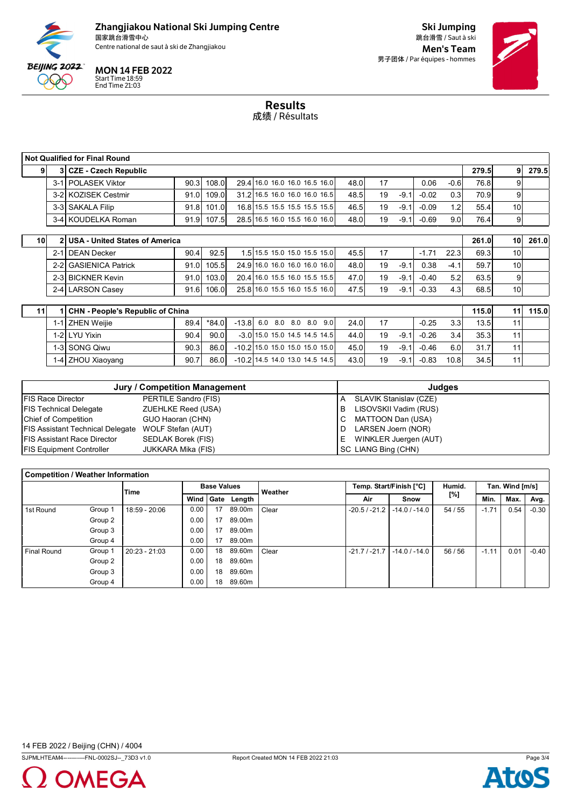

Centre national de saut à ski de Zhangjiakou de la commune de la commune de la commune de la commune de la commune de la commune de la commune de la commune de la commune de la commune de la commune de la commune de la com

# MON 14 FEB 2022

Start Time 18:59 End Time 21:03

Ski Jumping 跳台滑雪 / Saut à ski 男子团体 / Par équipes - hommes



Results 成绩 / Résultats

|                 | <b>Not Qualified for Final Round</b> |                                       |      |       |  |  |                               |      |    |        |         |                  |       |                 |       |
|-----------------|--------------------------------------|---------------------------------------|------|-------|--|--|-------------------------------|------|----|--------|---------|------------------|-------|-----------------|-------|
|                 |                                      | 3 CZE - Czech Republic                |      |       |  |  |                               |      |    |        |         |                  | 279.5 | 9               | 279.5 |
|                 |                                      | 3-1 POLASEK Viktor                    | 90.3 | 108.0 |  |  | 29.4 16.0 16.0 16.0 16.5 16.0 | 48.0 | 17 |        | 0.06    | $-0.6$           | 76.8  | 9               |       |
|                 |                                      | 3-2 KOZISEK Cestmir                   | 91.0 | 109.0 |  |  | 31.2 16.5 16.0 16.0 16.0 16.5 | 48.5 | 19 | $-9.1$ | $-0.02$ | 0.3 <sub>l</sub> | 70.9  | 9               |       |
|                 |                                      | 3-3 SAKALA Filip                      | 91.8 | 101.0 |  |  | 16.8 15.5 15.5 15.5 15.5 15.5 | 46.5 | 19 | $-9.1$ | $-0.09$ | 1.2              | 55.4  | 10              |       |
|                 |                                      | 3-4 KOUDELKA Roman                    | 91.9 | 107.5 |  |  | 28.5 16.5 16.0 15.5 16.0 16.0 | 48.0 | 19 | $-9.1$ | $-0.69$ | 9.0 <sub>l</sub> | 76.4  | 9               |       |
|                 |                                      |                                       |      |       |  |  |                               |      |    |        |         |                  |       |                 |       |
| 10 <sup>1</sup> | $\mathbf{v}$                         | <b>USA - United States of America</b> |      |       |  |  |                               |      |    |        |         |                  | 261.0 | 10 <sup>1</sup> | 261.0 |
|                 | $2 - 11$                             | <b>DEAN Decker</b>                    | 90.4 | 92.5  |  |  | 1.5 15.5 15.0 15.0 15.5 15.0  | 45.5 | 17 |        | $-1.71$ | 22.3             | 69.3  | 10              |       |
|                 | $2 - 21$                             | <b>GASIENICA Patrick</b>              | 91.0 | 105.5 |  |  | 24.9 16.0 16.0 16.0 16.0 16.0 | 48.0 | 19 | $-9.1$ | 0.38    | $-4.1$           | 59.7  | 10              |       |
|                 |                                      | 2-3 BICKNER Kevin                     | 91.0 | 103.0 |  |  | 20.4 16.0 15.5 16.0 15.5 15.5 | 47.0 | 19 | $-9.1$ | $-0.40$ | 5.2              | 63.5  | 9               |       |
|                 |                                      | 2-4 LARSON Casev                      | 91.6 | 106.0 |  |  | 25.8 16.0 15.5 16.0 15.5 16.0 | 47.5 | 19 | $-9.1$ | $-0.33$ | 4.3 <sub>l</sub> | 68.5  | 10              |       |

| 11 | 1 CHN - People's Republic of China |                   |      |       |                                  |                                 |  |  |  |  |      | 115.0 | 111    | 115.0   |      |      |                 |  |
|----|------------------------------------|-------------------|------|-------|----------------------------------|---------------------------------|--|--|--|--|------|-------|--------|---------|------|------|-----------------|--|
|    |                                    | 1-1 ZHEN Weijie   | 89.4 | *84.0 | $-13.8$ 6.0 8.0 8.0 8.0 9.0      |                                 |  |  |  |  | 24.0 | 17    |        | $-0.25$ | 3.3  | 13.5 | 11              |  |
|    |                                    | 1-2 LYU Yixin     | 90.4 | 90.0  |                                  | $-3.0$ 15.0 15.0 14.5 14.5 14.5 |  |  |  |  | 44.0 | 19    | $-9.1$ | $-0.26$ | 3.4  | 35.3 | 11              |  |
|    |                                    | 1-3 SONG Qiwu     | 90.3 | 86.0  | $-10.2$ 15.0 15.0 15.0 15.0 15.0 |                                 |  |  |  |  | 45.0 | 19    | $-9.1$ | $-0.46$ | 6.0  | 31.7 | 11 <sub>1</sub> |  |
|    |                                    | 1-4 ZHOU Xiaoyang | 90.7 | 86.0  | $-10.2$ 14.5 14.0 13.0 14.5 14.5 |                                 |  |  |  |  | 43.0 | 19    | $-9.1$ | $-0.83$ | 10.8 | 34.5 | 11 <sub>1</sub> |  |

|                                         | Jury / Competition Management |    | Judges                 |
|-----------------------------------------|-------------------------------|----|------------------------|
| <b>FIS Race Director</b>                | PERTILE Sandro (FIS)          | A  | SLAVIK Stanislav (CZE) |
| <b>FIS Technical Delegate</b>           | ZUEHLKE Reed (USA)            | в  | LISOVSKII Vadim (RUS)  |
| <b>Chief of Competition</b>             | GUO Haoran (CHN)              |    | MATTOON Dan (USA)      |
| <b>FIS Assistant Technical Delegate</b> | WOLF Stefan (AUT)             |    | LARSEN Joern (NOR)     |
| <b>FIS Assistant Race Director</b>      | SEDLAK Borek (FIS)            | E. | WINKLER Juergen (AUT)  |
| <b>FIS Equipment Controller</b>         | JUKKARA Mika (FIS)            |    | SC LIANG Bing (CHN)    |

| <b>Competition / Weather Information</b> |         |               |                    |      |        |         |                |                         |         |                 |      |         |
|------------------------------------------|---------|---------------|--------------------|------|--------|---------|----------------|-------------------------|---------|-----------------|------|---------|
|                                          | Time    |               | <b>Base Values</b> |      |        | Weather |                | Temp. Start/Finish [°C] | Humid.  | Tan. Wind [m/s] |      |         |
|                                          |         |               | Wind               | Gate | Length |         | Air            | Snow                    | [%]     | Min.            | Max. | Avg.    |
| 1st Round                                | Group 1 | 18:59 - 20:06 | 0.00               | 17   | 89.00m | Clear   | $-20.5/ -21.2$ | $-14.0$ / $-14.0$       | 54 / 55 | $-1.71$         | 0.54 | $-0.30$ |
|                                          | Group 2 |               | 0.00               | 17   | 89.00m |         |                |                         |         |                 |      |         |
|                                          | Group 3 |               | 0.00               | 17   | 89.00m |         |                |                         |         |                 |      |         |
|                                          | Group 4 |               | 0.00               | 17   | 89.00m |         |                |                         |         |                 |      |         |
| <b>Final Round</b>                       | Group 1 | 20:23 - 21:03 | 0.00               | 18   | 89.60m | Clear   | $-21.7/ -21.7$ | $-14.0$ / $-14.0$       | 56/56   | $-1.11$         | 0.01 | $-0.40$ |
|                                          | Group 2 |               | 0.00               | 18   | 89.60m |         |                |                         |         |                 |      |         |
|                                          | Group 3 |               | 0.00               | 18   | 89.60m |         |                |                         |         |                 |      |         |
|                                          | Group 4 |               | 0.00               | 18   | 89.60m |         |                |                         |         |                 |      |         |